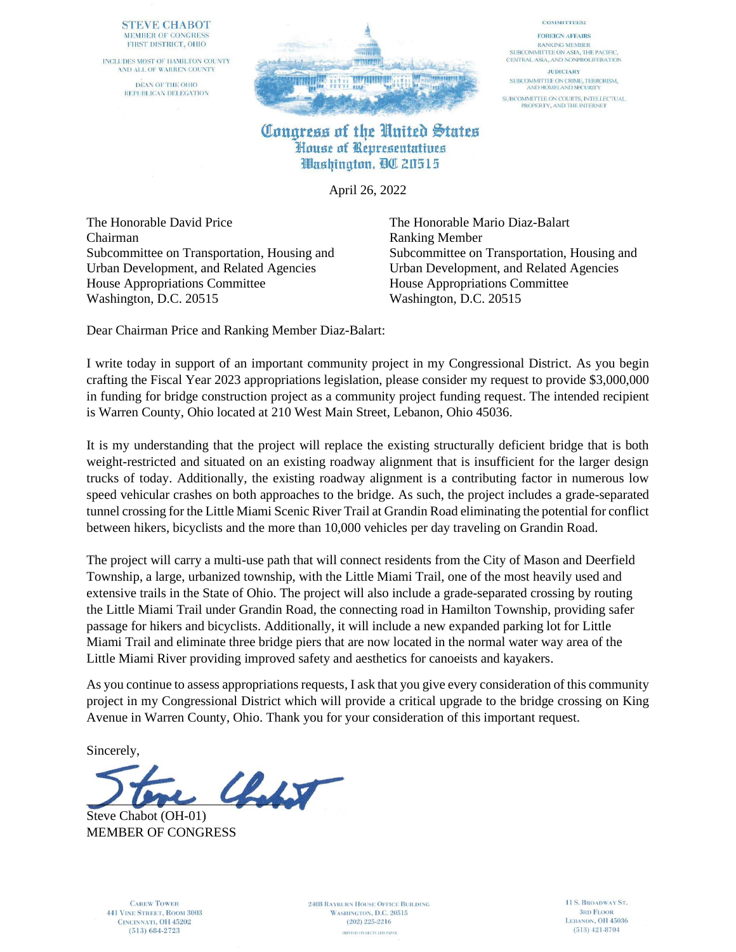### **STEVE CHABOT** MEMBER OF CONGRESS FIRST DISTRICT, OHIO

INCLUDES MOST OF HAMILTON COUNTY AND ALL OF WARREN COUNTY DEAN OF THE OHIO REPUBLICAN DELEGATION



### **COMMITTEES:**

**FOREIGN AFFAIRS RANKING MEMBER** SUBCOMMITTEE ON ASIA, THE PACIFIC, CENTRAL ASIA, AND NONPROLIFERATION

**JUDICIARY** SUBCOMMITTEE ON CRIME, TERRORISM,<br>AND HOMELAND SECURITY SUBCOMMITTEE ON COURTS, INTELLECTUAL<br>PROPERTY, AND THE INTERNET

## Congress of the United States House of Representatives Washington, QC 20515

April 26, 2022

The Honorable David Price The Honorable Mario Diaz-Balart Chairman Ranking Member Urban Development, and Related Agencies Urban Development, and Related Agencies House Appropriations Committee<br>Washington, D.C. 20515<br>Washington, D.C. 20515 Washington, D.C. 20515

Subcommittee on Transportation, Housing and Subcommittee on Transportation, Housing and

Dear Chairman Price and Ranking Member Diaz-Balart:

I write today in support of an important community project in my Congressional District. As you begin crafting the Fiscal Year 2023 appropriations legislation, please consider my request to provide \$3,000,000 in funding for bridge construction project as a community project funding request. The intended recipient is Warren County, Ohio located at 210 West Main Street, Lebanon, Ohio 45036.

It is my understanding that the project will replace the existing structurally deficient bridge that is both weight-restricted and situated on an existing roadway alignment that is insufficient for the larger design trucks of today. Additionally, the existing roadway alignment is a contributing factor in numerous low speed vehicular crashes on both approaches to the bridge. As such, the project includes a grade-separated tunnel crossing for the Little Miami Scenic River Trail at Grandin Road eliminating the potential for conflict between hikers, bicyclists and the more than 10,000 vehicles per day traveling on Grandin Road.

The project will carry a multi-use path that will connect residents from the City of Mason and Deerfield Township, a large, urbanized township, with the Little Miami Trail, one of the most heavily used and extensive trails in the State of Ohio. The project will also include a grade-separated crossing by routing the Little Miami Trail under Grandin Road, the connecting road in Hamilton Township, providing safer passage for hikers and bicyclists. Additionally, it will include a new expanded parking lot for Little Miami Trail and eliminate three bridge piers that are now located in the normal water way area of the Little Miami River providing improved safety and aesthetics for canoeists and kayakers.

As you continue to assess appropriations requests, I ask that you give every consideration of this community project in my Congressional District which will provide a critical upgrade to the bridge crossing on King Avenue in Warren County, Ohio. Thank you for your consideration of this important request.

Sincerely,

 $\mathcal{L}_{\mathcal{N}}$ 

Steve Chabot (OH-01) MEMBER OF CONGRESS

**CAREW TOWER 441 VINE STREET, ROOM 3003** CINCINNATI, OH 45202  $(513) 684 - 2723$ 

**2408 RAYBURN HOUSE OFFICE BUILDING** WASHINGTON, D.C. 20515  $(202)$  225-2216 PRINTED ON RECYCLED PAPER

11 S. BROADWAY ST. **3RD FLOOR** LEBANON, OH 45036  $(513)$  421-8704